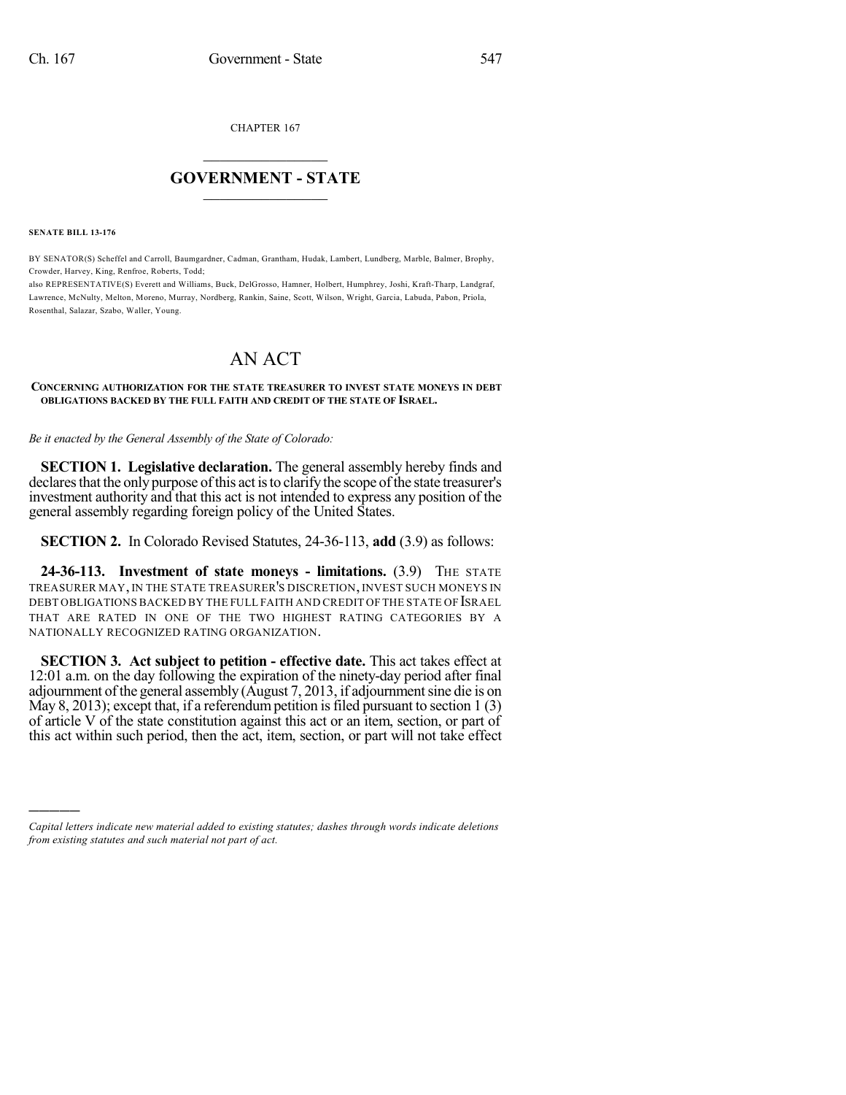CHAPTER 167

## $\mathcal{L}_\text{max}$  . The set of the set of the set of the set of the set of the set of the set of the set of the set of the set of the set of the set of the set of the set of the set of the set of the set of the set of the set **GOVERNMENT - STATE**  $\_$

**SENATE BILL 13-176**

)))))

BY SENATOR(S) Scheffel and Carroll, Baumgardner, Cadman, Grantham, Hudak, Lambert, Lundberg, Marble, Balmer, Brophy, Crowder, Harvey, King, Renfroe, Roberts, Todd;

also REPRESENTATIVE(S) Everett and Williams, Buck, DelGrosso, Hamner, Holbert, Humphrey, Joshi, Kraft-Tharp, Landgraf, Lawrence, McNulty, Melton, Moreno, Murray, Nordberg, Rankin, Saine, Scott, Wilson, Wright, Garcia, Labuda, Pabon, Priola, Rosenthal, Salazar, Szabo, Waller, Young.

## AN ACT

## **CONCERNING AUTHORIZATION FOR THE STATE TREASURER TO INVEST STATE MONEYS IN DEBT OBLIGATIONS BACKED BY THE FULL FAITH AND CREDIT OF THE STATE OF ISRAEL.**

*Be it enacted by the General Assembly of the State of Colorado:*

**SECTION 1. Legislative declaration.** The general assembly hereby finds and declares that the only purpose of this act is to clarify the scope of the state treasurer's investment authority and that this act is not intended to express any position of the general assembly regarding foreign policy of the United States.

**SECTION 2.** In Colorado Revised Statutes, 24-36-113, **add** (3.9) as follows:

**24-36-113. Investment of state moneys - limitations.** (3.9) THE STATE TREASURER MAY, IN THE STATE TREASURER'S DISCRETION, INVEST SUCH MONEYS IN DEBT OBLIGATIONS BACKED BY THE FULL FAITH AND CREDIT OF THE STATE OF ISRAEL THAT ARE RATED IN ONE OF THE TWO HIGHEST RATING CATEGORIES BY A NATIONALLY RECOGNIZED RATING ORGANIZATION.

**SECTION 3. Act subject to petition - effective date.** This act takes effect at 12:01 a.m. on the day following the expiration of the ninety-day period after final adjournment of the general assembly (August 7, 2013, if adjournment sine die is on May 8, 2013); except that, if a referendum petition is filed pursuant to section  $1(3)$ of article V of the state constitution against this act or an item, section, or part of this act within such period, then the act, item, section, or part will not take effect

*Capital letters indicate new material added to existing statutes; dashes through words indicate deletions from existing statutes and such material not part of act.*